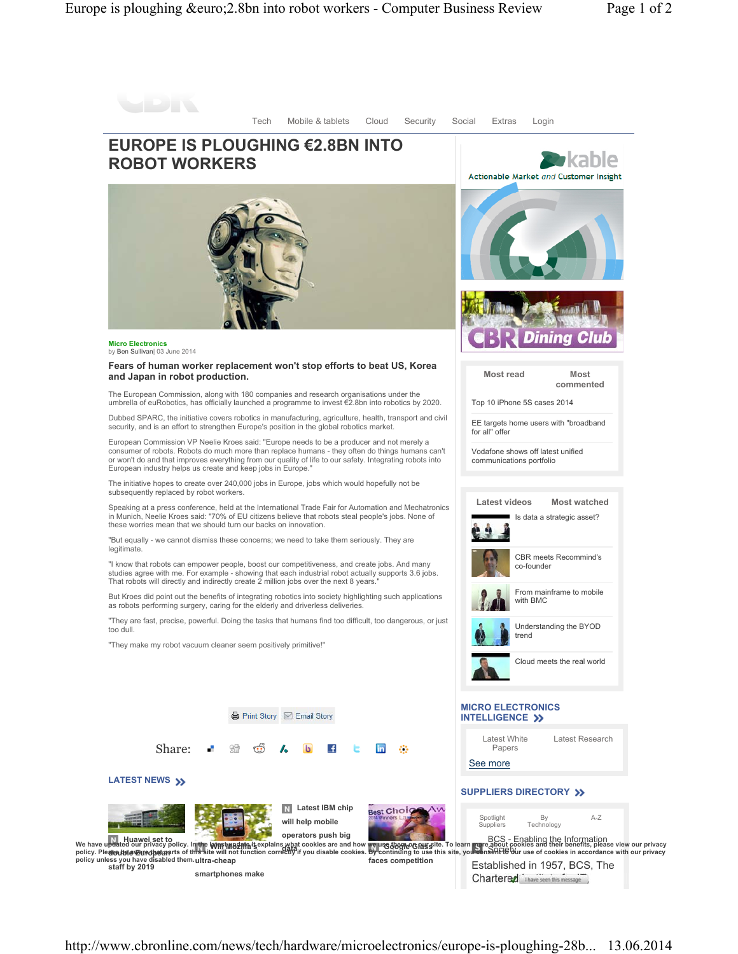